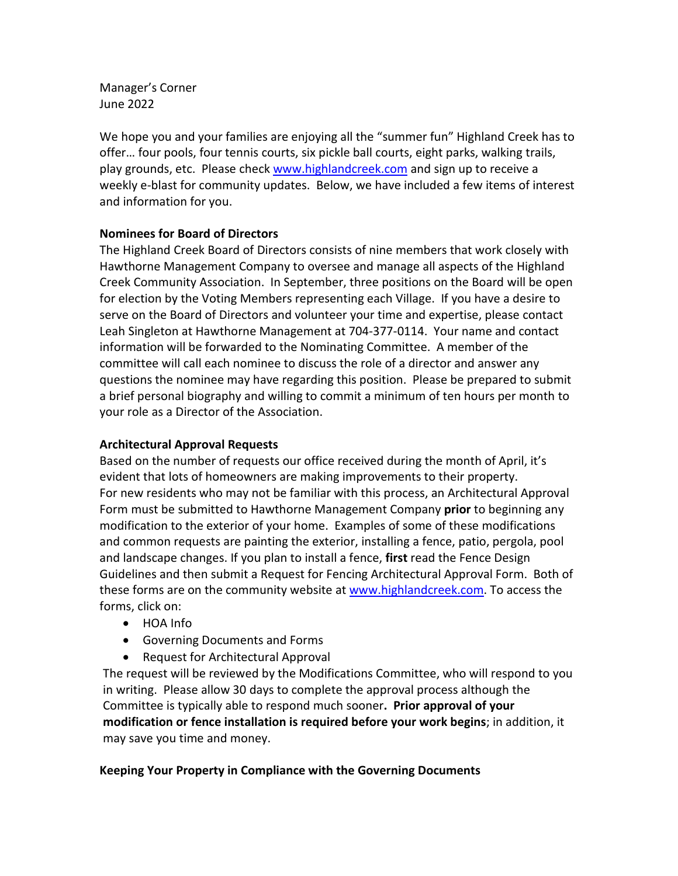Manager's Corner June 2022

We hope you and your families are enjoying all the "summer fun" Highland Creek has to offer… four pools, four tennis courts, six pickle ball courts, eight parks, walking trails, play grounds, etc. Please chec[k www.highlandcreek.com](http://www.highlandcreek.com/) and sign up to receive a weekly e-blast for community updates. Below, we have included a few items of interest and information for you.

## **Nominees for Board of Directors**

The Highland Creek Board of Directors consists of nine members that work closely with Hawthorne Management Company to oversee and manage all aspects of the Highland Creek Community Association. In September, three positions on the Board will be open for election by the Voting Members representing each Village. If you have a desire to serve on the Board of Directors and volunteer your time and expertise, please contact Leah Singleton at Hawthorne Management at 704-377-0114. Your name and contact information will be forwarded to the Nominating Committee. A member of the committee will call each nominee to discuss the role of a director and answer any questions the nominee may have regarding this position. Please be prepared to submit a brief personal biography and willing to commit a minimum of ten hours per month to your role as a Director of the Association.

## **Architectural Approval Requests**

Based on the number of requests our office received during the month of April, it's evident that lots of homeowners are making improvements to their property. For new residents who may not be familiar with this process, an Architectural Approval Form must be submitted to Hawthorne Management Company **prior** to beginning any modification to the exterior of your home. Examples of some of these modifications and common requests are painting the exterior, installing a fence, patio, pergola, pool and landscape changes. If you plan to install a fence, **first** read the Fence Design Guidelines and then submit a Request for Fencing Architectural Approval Form. Both of these forms are on the community website at [www.highlandcreek.com.](http://www.highlandcreek.com/) To access the forms, click on:

- HOA Info
- Governing Documents and Forms
- Request for Architectural Approval

The request will be reviewed by the Modifications Committee, who will respond to you in writing. Please allow 30 days to complete the approval process although the Committee is typically able to respond much sooner**. Prior approval of your modification or fence installation is required before your work begins**; in addition, it may save you time and money.

## **Keeping Your Property in Compliance with the Governing Documents**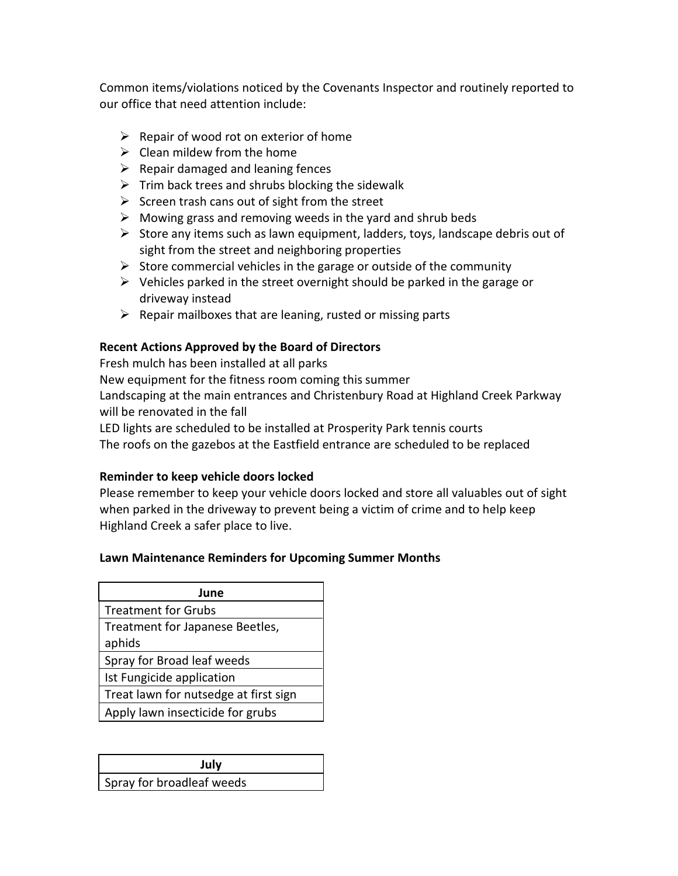Common items/violations noticed by the Covenants Inspector and routinely reported to our office that need attention include:

- $\triangleright$  Repair of wood rot on exterior of home
- $\triangleright$  Clean mildew from the home
- $\triangleright$  Repair damaged and leaning fences
- $\triangleright$  Trim back trees and shrubs blocking the sidewalk
- $\triangleright$  Screen trash cans out of sight from the street
- $\triangleright$  Mowing grass and removing weeds in the yard and shrub beds
- $\triangleright$  Store any items such as lawn equipment, ladders, toys, landscape debris out of sight from the street and neighboring properties
- $\triangleright$  Store commercial vehicles in the garage or outside of the community
- $\triangleright$  Vehicles parked in the street overnight should be parked in the garage or driveway instead
- $\triangleright$  Repair mailboxes that are leaning, rusted or missing parts

# **Recent Actions Approved by the Board of Directors**

Fresh mulch has been installed at all parks

New equipment for the fitness room coming this summer Landscaping at the main entrances and Christenbury Road at Highland Creek Parkway will be renovated in the fall

LED lights are scheduled to be installed at Prosperity Park tennis courts

The roofs on the gazebos at the Eastfield entrance are scheduled to be replaced

## **Reminder to keep vehicle doors locked**

Please remember to keep your vehicle doors locked and store all valuables out of sight when parked in the driveway to prevent being a victim of crime and to help keep Highland Creek a safer place to live.

## **Lawn Maintenance Reminders for Upcoming Summer Months**

| June                                  |
|---------------------------------------|
| <b>Treatment for Grubs</b>            |
| Treatment for Japanese Beetles,       |
| aphids                                |
| Spray for Broad leaf weeds            |
| Ist Fungicide application             |
| Treat lawn for nutsedge at first sign |
| Apply lawn insecticide for grubs      |

| July                      |
|---------------------------|
| Spray for broadleaf weeds |